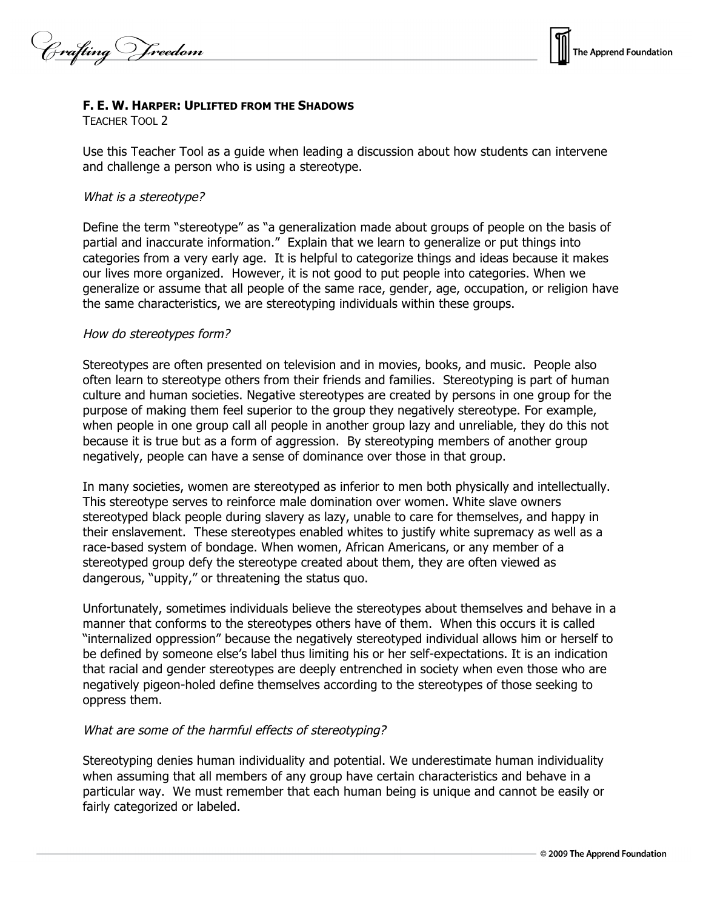Crafting Vreedom



## **F. E. W. HARPER: UPLIFTED FROM THE SHADOWS**

TEACHER TOOL 2

Use this Teacher Tool as a guide when leading a discussion about how students can intervene and challenge a person who is using a stereotype.

## What is <sup>a</sup> stereotype?

Define the term "stereotype" as "a generalization made about groups of people on the basis of partial and inaccurate information." Explain that we learn to generalize or put things into categories from a very early age. It is helpful to categorize things and ideas because it makes our lives more organized. However, it is not good to put people into categories. When we generalize or assume that all people of the same race, gender, age, occupation, or religion have the same characteristics, we are stereotyping individuals within these groups.

## How do stereotypes form?

Stereotypes are often presented on television and in movies, books, and music. People also often learn to stereotype others from their friends and families. Stereotyping is part of human culture and human societies. Negative stereotypes are created by persons in one group for the purpose of making them feel superior to the group they negatively stereotype. For example, when people in one group call all people in another group lazy and unreliable, they do this not because it is true but as a form of aggression. By stereotyping members of another group negatively, people can have a sense of dominance over those in that group.

In many societies, women are stereotyped as inferior to men both physically and intellectually. This stereotype serves to reinforce male domination over women. White slave owners stereotyped black people during slavery as lazy, unable to care for themselves, and happy in their enslavement. These stereotypes enabled whites to justify white supremacy as well as a race-based system of bondage. When women, African Americans, or any member of a stereotyped group defy the stereotype created about them, they are often viewed as dangerous, "uppity," or threatening the status quo.

Unfortunately, sometimes individuals believe the stereotypes about themselves and behave in a manner that conforms to the stereotypes others have of them. When this occurs it is called "internalized oppression" because the negatively stereotyped individual allows him or herself to be defined by someone else's label thus limiting his or her self-expectations. It is an indication that racial and gender stereotypes are deeply entrenched in society when even those who are negatively pigeon-holed define themselves according to the stereotypes of those seeking to oppress them.

## What are some of the harmful effects of stereotyping?

Stereotyping denies human individuality and potential. We underestimate human individuality when assuming that all members of any group have certain characteristics and behave in a particular way. We must remember that each human being is unique and cannot be easily or fairly categorized or labeled.